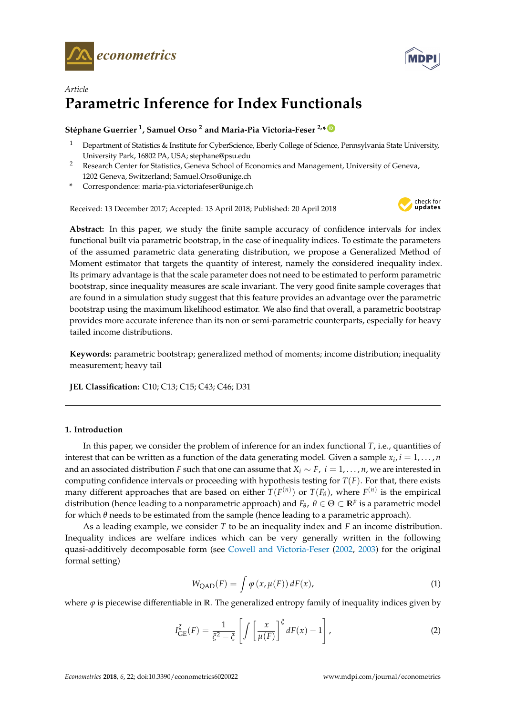



# *Article* **Parametric Inference for Index Functionals**

# $\,$ Stéphane Guerrier <sup>1</sup>, Samuel Orso <sup>2</sup> and Maria-Pia Victoria-Feser <sup>2,</sup>\*  $\,$

- <sup>1</sup> Department of Statistics & Institute for CyberScience, Eberly College of Science, Pennsylvania State University, University Park, 16802 PA, USA; stephane@psu.edu
- <sup>2</sup> Research Center for Statistics, Geneva School of Economics and Management, University of Geneva, 1202 Geneva, Switzerland; Samuel.Orso@unige.ch
- **\*** Correspondence: maria-pia.victoriafeser@unige.ch

Received: 13 December 2017; Accepted: 13 April 2018; Published: 20 April 2018



**Abstract:** In this paper, we study the finite sample accuracy of confidence intervals for index functional built via parametric bootstrap, in the case of inequality indices. To estimate the parameters of the assumed parametric data generating distribution, we propose a Generalized Method of Moment estimator that targets the quantity of interest, namely the considered inequality index. Its primary advantage is that the scale parameter does not need to be estimated to perform parametric bootstrap, since inequality measures are scale invariant. The very good finite sample coverages that are found in a simulation study suggest that this feature provides an advantage over the parametric bootstrap using the maximum likelihood estimator. We also find that overall, a parametric bootstrap provides more accurate inference than its non or semi-parametric counterparts, especially for heavy tailed income distributions.

**Keywords:** parametric bootstrap; generalized method of moments; income distribution; inequality measurement; heavy tail

**JEL Classification:** C10; C13; C15; C43; C46; D31

# **1. Introduction**

In this paper, we consider the problem of inference for an index functional *T*, i.e., quantities of interest that can be written as a function of the data generating model. Given a sample  $x_i$ ,  $i = 1, \ldots, n$ and an associated distribution *F* such that one can assume that  $X_i \sim F$ ,  $i = 1, \ldots, n$ , we are interested in computing confidence intervals or proceeding with hypothesis testing for  $T(F)$ . For that, there exists many different approaches that are based on either  $T(F^{(n)})$  or  $T(F_{\theta})$ , where  $F^{(n)}$  is the empirical distribution (hence leading to a nonparametric approach) and  $F_{\theta}$ ,  $\theta \in \Theta \subset \mathbb{R}^p$  is a parametric model for which *θ* needs to be estimated from the sample (hence leading to a parametric approach).

As a leading example, we consider *T* to be an inequality index and *F* an income distribution. Inequality indices are welfare indices which can be very generally written in the following quasi-additively decomposable form (see [Cowell and Victoria-Feser](#page-9-0) [\(2002,](#page-9-1) [2003\)](#page-9-0) for the original formal setting)

<span id="page-0-0"></span>
$$
W_{QAD}(F) = \int \varphi(x, \mu(F)) dF(x), \qquad (1)
$$

where  $\varphi$  is piecewise differentiable in R. The generalized entropy family of inequality indices given by

<span id="page-0-1"></span>
$$
I_{GE}^{\xi}(F) = \frac{1}{\xi^2 - \xi} \left[ \int \left[ \frac{x}{\mu(F)} \right]^{\xi} dF(x) - 1 \right],
$$
 (2)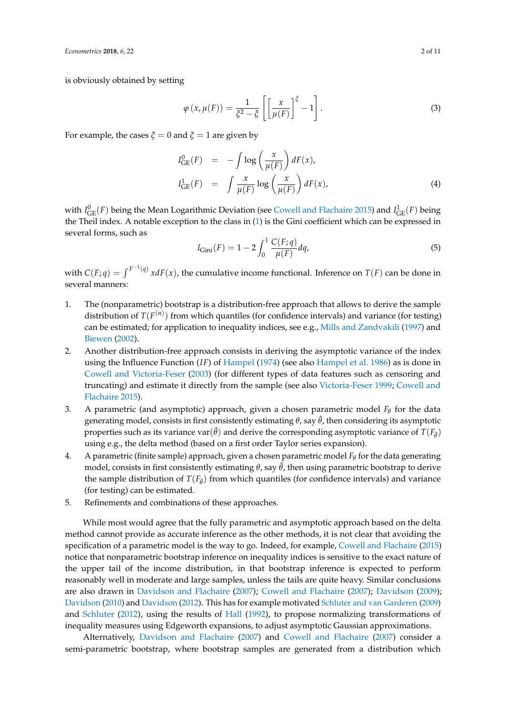is obviously obtained by setting

$$
\varphi(x,\mu(F)) = \frac{1}{\xi^2 - \xi} \left[ \left[ \frac{x}{\mu(F)} \right]^\xi - 1 \right].
$$
\n(3)

For example, the cases  $\zeta = 0$  and  $\zeta = 1$  are given by

<span id="page-1-1"></span>
$$
I_{GE}^0(F) = -\int \log\left(\frac{x}{\mu(F)}\right) dF(x),
$$
  
\n
$$
I_{GE}^1(F) = \int \frac{x}{\mu(F)} \log\left(\frac{x}{\mu(F)}\right) dF(x),
$$
\n(4)

with  $I^0_{\text{GE}}(F)$  being the Mean Logarithmic Deviation (see [Cowell and Flachaire](#page-9-2) [2015\)](#page-9-2) and  $I^1_{\text{GE}}(F)$  being the Theil index. A notable exception to the class in [\(1\)](#page-0-0) is the Gini coefficient which can be expressed in several forms, such as

$$
I_{\text{Gini}}(F) = 1 - 2 \int_0^1 \frac{C(F; q)}{\mu(F)} dq,
$$
\n(5)

with  $C(F; q) = \int^{F^{-1}(q)} x dF(x)$ , the cumulative income functional. Inference on  $T(F)$  can be done in several manners:

- 1. The (nonparametric) bootstrap is a distribution-free approach that allows to derive the sample distribution of  $T(F^{(n)})$  from which quantiles (for confidence intervals) and variance (for testing) can be estimated; for application to inequality indices, see e.g., [Mills and Zandvakili](#page-10-0) [\(1997\)](#page-10-0) and [Biewen](#page-9-3) [\(2002\)](#page-9-3).
- 2. Another distribution-free approach consists in deriving the asymptotic variance of the index using the Influence Function (*IF*) of [Hampel](#page-10-1) [\(1974\)](#page-10-1) (see also [Hampel et al.](#page-10-2) [1986\)](#page-10-2) as is done in [Cowell and Victoria-Feser](#page-9-0) [\(2003\)](#page-9-0) (for different types of data features such as censoring and truncating) and estimate it directly from the sample (see also [Victoria-Feser](#page-10-3) [1999;](#page-10-3) [Cowell and](#page-9-2) [Flachaire](#page-9-2) [2015\)](#page-9-2).
- 3. A parametric (and asymptotic) approach, given a chosen parametric model *F<sup>θ</sup>* for the data generating model, consists in first consistently estimating  $θ$ , say  $\hat{θ}$ , then considering its asymptotic properties such as its variance var $(\hat{\theta})$  and derive the corresponding asymptotic variance of  $T(F_{\hat{\theta}})$ using e.g., the delta method (based on a first order Taylor series expansion).
- <span id="page-1-0"></span>4. A parametric (finite sample) approach, given a chosen parametric model *F<sup>θ</sup>* for the data generating model, consists in first consistently estimating  $θ$ , say  $θ$ , then using parametric bootstrap to derive the sample distribution of  $T(F_{\hat{\theta}})$  from which quantiles (for confidence intervals) and variance (for testing) can be estimated.
- 5. Refinements and combinations of these approaches.

While most would agree that the fully parametric and asymptotic approach based on the delta method cannot provide as accurate inference as the other methods, it is not clear that avoiding the specification of a parametric model is the way to go. Indeed, for example, [Cowell and Flachaire](#page-9-2) [\(2015\)](#page-9-2) notice that nonparametric bootstrap inference on inequality indices is sensitive to the exact nature of the upper tail of the income distribution, in that bootstrap inference is expected to perform reasonably well in moderate and large samples, unless the tails are quite heavy. Similar conclusions are also drawn in [Davidson and Flachaire](#page-10-4) [\(2007\)](#page-10-4); [Cowell and Flachaire](#page-9-4) [\(2007\)](#page-9-4); [Davidson](#page-9-5) [\(2009\)](#page-9-5); [Davidson](#page-9-6) [\(2010\)](#page-9-6) and [Davidson](#page-9-7) [\(2012\)](#page-9-7). This has for example motivated [Schluter and van Garderen](#page-10-5) [\(2009\)](#page-10-5) and [Schluter](#page-10-6) [\(2012\)](#page-10-6), using the results of [Hall](#page-10-7) [\(1992\)](#page-10-7), to propose normalizing transformations of inequality measures using Edgeworth expansions, to adjust asymptotic Gaussian approximations.

Alternatively, [Davidson and Flachaire](#page-10-4) [\(2007\)](#page-10-4) and [Cowell and Flachaire](#page-9-4) [\(2007\)](#page-9-4) consider a semi-parametric bootstrap, where bootstrap samples are generated from a distribution which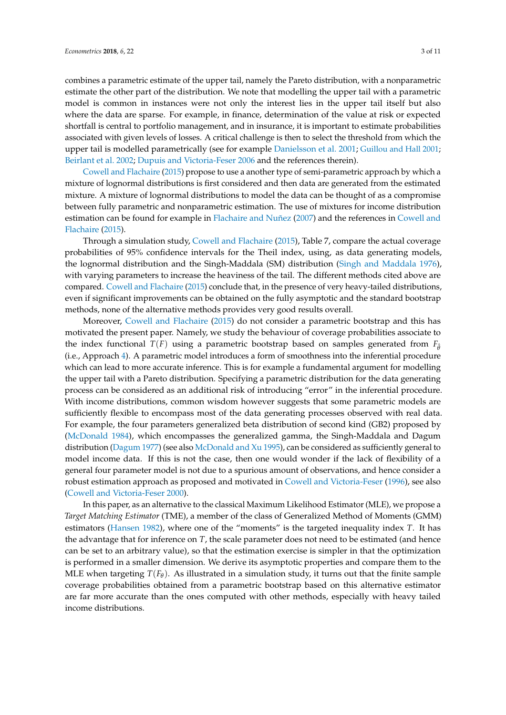combines a parametric estimate of the upper tail, namely the Pareto distribution, with a nonparametric estimate the other part of the distribution. We note that modelling the upper tail with a parametric model is common in instances were not only the interest lies in the upper tail itself but also where the data are sparse. For example, in finance, determination of the value at risk or expected shortfall is central to portfolio management, and in insurance, it is important to estimate probabilities associated with given levels of losses. A critical challenge is then to select the threshold from which the upper tail is modelled parametrically (see for example [Danielsson et al.](#page-9-8) [2001;](#page-9-8) [Guillou and Hall](#page-10-8) [2001;](#page-10-8) [Beirlant et al.](#page-9-9) [2002;](#page-9-9) [Dupuis and Victoria-Feser](#page-10-9) [2006](#page-10-9) and the references therein).

[Cowell and Flachaire](#page-9-2) [\(2015\)](#page-9-2) propose to use a another type of semi-parametric approach by which a mixture of lognormal distributions is first considered and then data are generated from the estimated mixture. A mixture of lognormal distributions to model the data can be thought of as a compromise between fully parametric and nonparametric estimation. The use of mixtures for income distribution estimation can be found for example in [Flachaire and Nuñez](#page-10-10) [\(2007\)](#page-10-10) and the references in [Cowell and](#page-9-2) [Flachaire](#page-9-2) [\(2015\)](#page-9-2).

Through a simulation study, [Cowell and Flachaire](#page-9-2) [\(2015\)](#page-9-2), Table 7, compare the actual coverage probabilities of 95% confidence intervals for the Theil index, using, as data generating models, the lognormal distribution and the Singh-Maddala (SM) distribution [\(Singh and Maddala](#page-10-11) [1976\)](#page-10-11), with varying parameters to increase the heaviness of the tail. The different methods cited above are compared. [Cowell and Flachaire](#page-9-2) [\(2015\)](#page-9-2) conclude that, in the presence of very heavy-tailed distributions, even if significant improvements can be obtained on the fully asymptotic and the standard bootstrap methods, none of the alternative methods provides very good results overall.

Moreover, [Cowell and Flachaire](#page-9-2) [\(2015\)](#page-9-2) do not consider a parametric bootstrap and this has motivated the present paper. Namely, we study the behaviour of coverage probabilities associate to the index functional  $T(F)$  using a parametric bootstrap based on samples generated from  $F_{\hat{\theta}}$ (i.e., Approach [4\)](#page-1-0). A parametric model introduces a form of smoothness into the inferential procedure which can lead to more accurate inference. This is for example a fundamental argument for modelling the upper tail with a Pareto distribution. Specifying a parametric distribution for the data generating process can be considered as an additional risk of introducing "error" in the inferential procedure. With income distributions, common wisdom however suggests that some parametric models are sufficiently flexible to encompass most of the data generating processes observed with real data. For example, the four parameters generalized beta distribution of second kind (GB2) proposed by [\(McDonald](#page-10-12) [1984\)](#page-10-12), which encompasses the generalized gamma, the Singh-Maddala and Dagum distribution [\(Dagum](#page-9-10) [1977\)](#page-9-10) (see also [McDonald and Xu](#page-10-13) [1995\)](#page-10-13), can be considered as sufficiently general to model income data. If this is not the case, then one would wonder if the lack of flexibility of a general four parameter model is not due to a spurious amount of observations, and hence consider a robust estimation approach as proposed and motivated in [Cowell and Victoria-Feser](#page-9-11) [\(1996\)](#page-9-11), see also [\(Cowell and Victoria-Feser](#page-9-12) [2000\)](#page-9-12).

In this paper, as an alternative to the classical Maximum Likelihood Estimator (MLE), we propose a *Target Matching Estimator* (TME), a member of the class of Generalized Method of Moments (GMM) estimators [\(Hansen](#page-10-14) [1982\)](#page-10-14), where one of the "moments" is the targeted inequality index *T*. It has the advantage that for inference on *T*, the scale parameter does not need to be estimated (and hence can be set to an arbitrary value), so that the estimation exercise is simpler in that the optimization is performed in a smaller dimension. We derive its asymptotic properties and compare them to the MLE when targeting  $T(F_\theta)$ . As illustrated in a simulation study, it turns out that the finite sample coverage probabilities obtained from a parametric bootstrap based on this alternative estimator are far more accurate than the ones computed with other methods, especially with heavy tailed income distributions.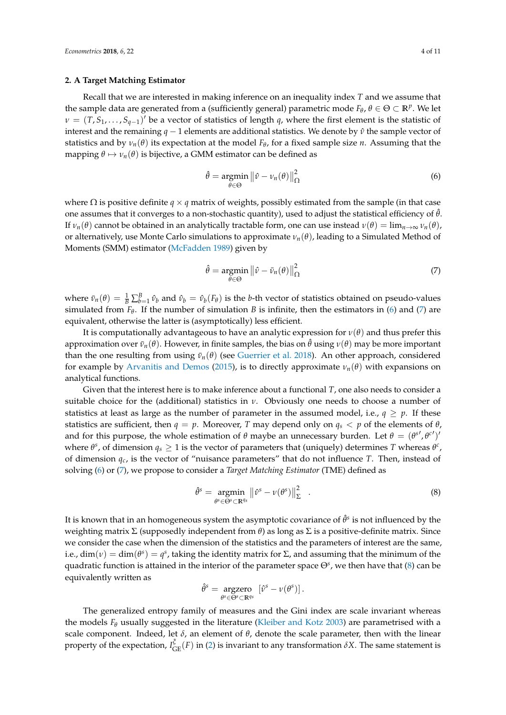#### <span id="page-3-3"></span>**2. A Target Matching Estimator**

Recall that we are interested in making inference on an inequality index *T* and we assume that the sample data are generated from a (sufficiently general) parametric mode  $F_{\theta}$ ,  $\theta \in \Theta \subset \mathbb{R}^p$ . We let  $\nu = (T, S_1, \ldots, S_{q-1})'$  be a vector of statistics of length *q*, where the first element is the statistic of interest and the remaining  $q - 1$  elements are additional statistics. We denote by  $\hat{v}$  the sample vector of statistics and by  $v_n(\theta)$  its expectation at the model  $F_{\theta}$ , for a fixed sample size *n*. Assuming that the mapping  $\theta \mapsto \nu_n(\theta)$  is bijective, a GMM estimator can be defined as

<span id="page-3-0"></span>
$$
\hat{\theta} = \underset{\theta \in \Theta}{\operatorname{argmin}} \left\| \hat{\nu} - \nu_n(\theta) \right\|_{\Omega}^2 \tag{6}
$$

where  $\Omega$  is positive definite *q* × *q* matrix of weights, possibly estimated from the sample (in that case one assumes that it converges to a non-stochastic quantity), used to adjust the statistical efficiency of  $\hat{\theta}$ . If  $ν_n(θ)$  cannot be obtained in an analytically tractable form, one can use instead  $ν(θ) = \lim_{n \to \infty} ν_n(θ)$ , or alternatively, use Monte Carlo simulations to approximate  $v_n(\theta)$ , leading to a Simulated Method of Moments (SMM) estimator [\(McFadden](#page-10-15) [1989\)](#page-10-15) given by

<span id="page-3-1"></span>
$$
\hat{\theta} = \underset{\theta \in \Theta}{\operatorname{argmin}} \left\| \hat{v} - \bar{v}_n(\theta) \right\|_{\Omega}^2 \tag{7}
$$

where  $\bar{v}_n(\theta) = \frac{1}{B} \sum_{b=1}^B \hat{v}_b$  and  $\hat{v}_b = \hat{v}_b(F_\theta)$  is the *b*-th vector of statistics obtained on pseudo-values simulated from  $F_{\theta}$ . If the number of simulation *B* is infinite, then the estimators in [\(6\)](#page-3-0) and [\(7\)](#page-3-1) are equivalent, otherwise the latter is (asymptotically) less efficient.

It is computationally advantageous to have an analytic expression for  $v(\theta)$  and thus prefer this approximation over  $\bar{v}_n(\theta)$ . However, in finite samples, the bias on  $\hat{\theta}$  using  $v(\theta)$  may be more important than the one resulting from using  $\bar{v}_n(\theta)$  (see [Guerrier et al.](#page-10-16) [2018\)](#page-10-16). An other approach, considered for example by [Arvanitis and Demos](#page-9-13) [\(2015\)](#page-9-13), is to directly approximate  $\nu_n(\theta)$  with expansions on analytical functions.

Given that the interest here is to make inference about a functional *T*, one also needs to consider a suitable choice for the (additional) statistics in *ν*. Obviously one needs to choose a number of statistics at least as large as the number of parameter in the assumed model, i.e.,  $q \geq p$ . If these statistics are sufficient, then  $q = p$ . Moreover, *T* may depend only on  $q_s < p$  of the elements of  $\theta$ , and for this purpose, the whole estimation of  $\theta$  maybe an unnecessary burden. Let  $\theta = (\theta^{s'}, \theta^{c'})$ where  $\theta^s$ , of dimension  $q_s \geq 1$  is the vector of parameters that (uniquely) determines *T* whereas  $\theta^c$ , of dimension *qc*, is the vector of "nuisance parameters" that do not influence *T*. Then, instead of solving [\(6\)](#page-3-0) or [\(7\)](#page-3-1), we propose to consider a *Target Matching Estimator* (TME) defined as

<span id="page-3-2"></span>
$$
\hat{\theta}^s = \underset{\theta^s \in \Theta^s \subset \mathbb{R}^{q_s}}{\operatorname{argmin}} \left\| \hat{\nu}^s - \nu(\theta^s) \right\|_{\Sigma}^2 \tag{8}
$$

It is known that in an homogeneous system the asymptotic covariance of  $\hat{\theta}^s$  is not influenced by the weighting matrix Σ (supposedly independent from *θ*) as long as Σ is a positive-definite matrix. Since we consider the case when the dimension of the statistics and the parameters of interest are the same, i.e.,  $\dim(\nu) = \dim(\theta^s) = q^s$ , taking the identity matrix for  $\Sigma$ , and assuming that the minimum of the quadratic function is attained in the interior of the parameter space Θ*<sup>s</sup>* , we then have that [\(8\)](#page-3-2) can be equivalently written as

$$
\hat{\theta}^s = \underset{\theta^s \in \Theta^s \subset \mathbb{R}^{q_s}}{\arg \text{zero}} \left[ \hat{\nu}^s - \nu(\theta^s) \right].
$$

The generalized entropy family of measures and the Gini index are scale invariant whereas the models  $F_{\theta}$  usually suggested in the literature [\(Kleiber and Kotz](#page-10-17) [2003\)](#page-10-17) are parametrised with a scale component. Indeed, let *δ*, an element of *θ*, denote the scale parameter, then with the linear property of the expectation,  $I_{GE}^{\zeta}(F)$  in [\(2\)](#page-0-1) is invariant to any transformation  $\delta X$ . The same statement is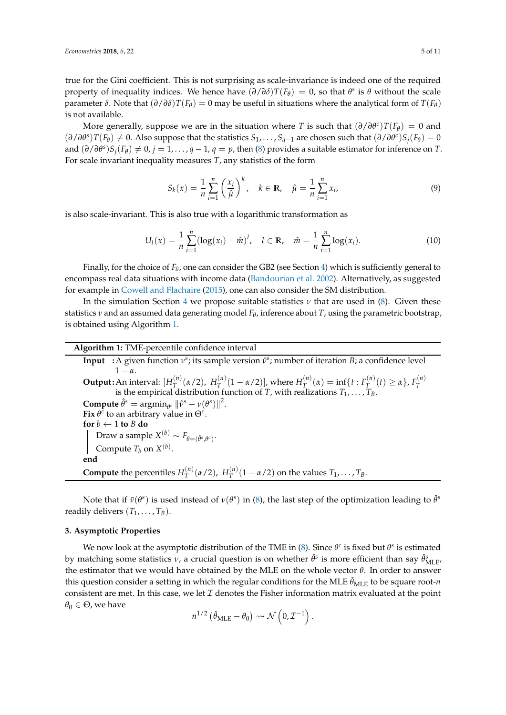true for the Gini coefficient. This is not surprising as scale-invariance is indeed one of the required property of inequality indices. We hence have  $(\partial/\partial \delta)T(F_{\theta}) = 0$ , so that  $\theta^s$  is  $\theta$  without the scale parameter  $\delta$ . Note that  $(\partial/\partial \delta)T(F_{\theta}) = 0$  may be useful in situations where the analytical form of  $T(F_{\theta})$ is not available.

More generally, suppose we are in the situation where *T* is such that  $(\partial/\partial \theta^c)T(F_{\theta}) = 0$  and  $(\partial/\partial\theta^s)T(F_{\theta}) \neq 0$ . Also suppose that the statistics  $S_1, \ldots, S_{q-1}$  are chosen such that  $(\partial/\partial\theta^c)S_j(F_{\theta}) = 0$ and  $(\partial/\partial\theta^s)S_j(F_{\theta}) \neq 0$ ,  $j = 1, ..., q - 1$ ,  $q = p$ , then [\(8\)](#page-3-2) provides a suitable estimator for inference on *T*. For scale invariant inequality measures *T*, any statistics of the form

<span id="page-4-1"></span>
$$
S_k(x) = \frac{1}{n} \sum_{i=1}^n \left(\frac{x_i}{\hat{\mu}}\right)^k, \quad k \in \mathbb{R}, \quad \hat{\mu} = \frac{1}{n} \sum_{i=1}^n x_i,
$$
 (9)

is also scale-invariant. This is also true with a logarithmic transformation as

<span id="page-4-2"></span>
$$
U_l(x) = \frac{1}{n} \sum_{i=1}^n (\log(x_i) - \hat{m})^l, \quad l \in \mathbb{R}, \quad \hat{m} = \frac{1}{n} \sum_{i=1}^n \log(x_i).
$$
 (10)

Finally, for the choice of  $F_{\theta}$ , one can consider the GB2 (see Section [4\)](#page-5-0) which is sufficiently general to encompass real data situations with income data [\(Bandourian et al.](#page-9-14) [2002\)](#page-9-14). Alternatively, as suggested for example in [Cowell and Flachaire](#page-9-2) [\(2015\)](#page-9-2), one can also consider the SM distribution.

In the simulation Section [4](#page-5-0) we propose suitable statistics  $\nu$  that are used in [\(8\)](#page-3-2). Given these statistics *ν* and an assumed data generating model *F<sup>θ</sup>* , inference about *T*, using the parametric bootstrap, is obtained using Algorithm [1.](#page-4-0)

**Algorithm 1:** TME-percentile confidence interval

**Input** : A given function  $v^s$ ; its sample version  $\hat{v}^s$ ; number of iteration *B*; a confidence level  $1 - \alpha$ . **Output :**An interval: [*H* (*n*) <sup>(*n*</sup>)</sup>(α/2),  $H_T^{(n)}$  $\frac{H^{(n)}(1 - \alpha/2)}{T}$ , where  $H^{(n)}(T)$  $T_{T}^{(n)}(\alpha) = \inf \{ t : F_{T}^{(n)} \}$  $F_T^{(n)}(t)$  ≥ α},  $F_T^{(n)}$ An interval.  $[T_T \ (u/2), T_T \ (1 - u/2)]$ , where  $T_T \ (u) = \ln[\mathcal{U} \cdot T_T \ (t) \leq \alpha f$ ,  $T_T$  is the empirical distribution function of *T*, with realizations  $T_1, \ldots, T_B$ . **Compute**  $\hat{\theta}^s = \operatorname{argmin}_{\theta^s} ||\hat{\nu}^s - \nu(\theta^s)||^2$ . **Fix**  $\theta^c$  to an arbitrary value in  $\Theta^c$ . **for**  $b \leftarrow 1$  **to**  $B$  **do**  $\text{Draw a sample } X^{(b)} \sim F_{\theta = (\hat{\theta}^s, \theta^c)}.$ Compute  $T_b$  on  $X^{(b)}$ . **end Compute** the percentiles  $H_T^{(n)}$ <sup>(*n*</sup>)</sup>(α/2),  $H_T^{(n)}$  $T_T^{(n)}(1 - \alpha/2)$  on the values  $T_1, \ldots, T_B$ .

<span id="page-4-0"></span>Note that if  $\bar{v}(\theta^s)$  is used instead of  $v(\theta^s)$  in [\(8\)](#page-3-2), the last step of the optimization leading to  $\hat{\theta}^s$ readily delivers  $(T_1, \ldots, T_B)$ .

#### **3. Asymptotic Properties**

We now look at the asymptotic distribution of the TME in [\(8\)](#page-3-2). Since  $\theta^c$  is fixed but  $\theta^s$  is estimated by matching some statistics  $\nu$ , a crucial question is on whether  $\hat{\theta}^s$  is more efficient than say  $\hat{\theta}^s_{\mathrm{MLE}}$ the estimator that we would have obtained by the MLE on the whole vector *θ*. In order to answer this question consider a setting in which the regular conditions for the MLE  $\hat{\theta}_{MLE}$  to be square root-*n* consistent are met. In this case, we let  $\mathcal I$  denotes the Fisher information matrix evaluated at the point  $\theta_0 \in \Theta$ , we have

$$
n^{1/2} \left( \hat{\theta}_{MLE} - \theta_0 \right) \rightsquigarrow \mathcal{N} \left( 0, \mathcal{I}^{-1} \right).
$$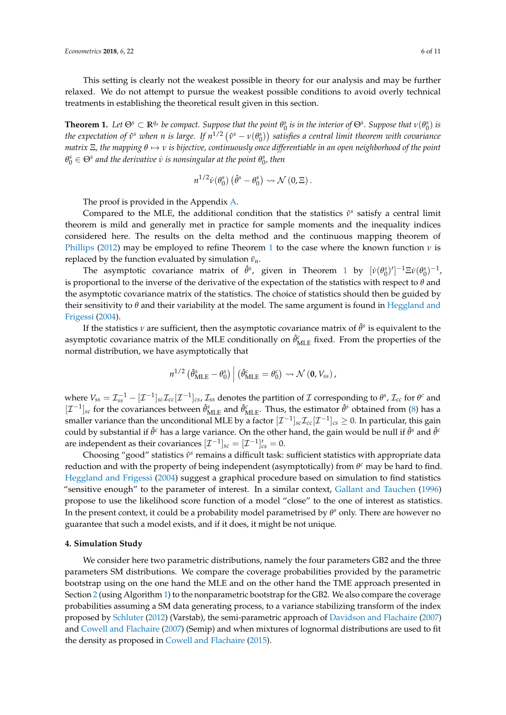This setting is clearly not the weakest possible in theory for our analysis and may be further relaxed. We do not attempt to pursue the weakest possible conditions to avoid overly technical treatments in establishing the theoretical result given in this section.

<span id="page-5-1"></span>**Theorem 1.** Let  $\Theta^s \subset \mathbb{R}^{q_s}$  be compact. Suppose that the point  $\theta^s_0$  is in the interior of  $\Theta^s$ . Suppose that  $v(\theta^s_0)$  is *the expectation of*  $\hat{v}^s$  *when n is large. If*  $n^{1/2}$  $(\hat{v}^s - \nu(\theta^s_0))$  *satisfies a central limit theorem with covariance matrix* Ξ*, the mapping θ* 7→ *ν is bijective, continuously once differentiable in an open neighborhood of the point*  $\theta_0^s \in \Theta^s$  and the derivative  $\dot{v}$  is nonsingular at the point  $\theta_0^s$ , then

$$
n^{1/2}\dot{\nu}(\theta_0^s) (\hat{\theta}^s - \theta_0^s) \rightsquigarrow \mathcal{N}(0,\Xi).
$$

The proof is provided in the Appendix [A.](#page-8-0)

Compared to the MLE, the additional condition that the statistics *ν*ˆ *s* satisfy a central limit theorem is mild and generally met in practice for sample moments and the inequality indices considered here. The results on the delta method and the continuous mapping theorem of [Phillips](#page-10-18) [\(2012\)](#page-10-18) may be employed to refine Theorem [1](#page-5-1) to the case where the known function  $\nu$  is replaced by the function evaluated by simulation  $\bar{v}_n$ .

The asymptotic covariance matrix of  $\hat{\theta}^s$ , given in Theorem [1](#page-5-1) by  $[\dot{\nu}(\theta_0^s)']^{-1}\Xi\dot{\nu}(\theta_0^s)^{-1}$ , is proportional to the inverse of the derivative of the expectation of the statistics with respect to *θ* and the asymptotic covariance matrix of the statistics. The choice of statistics should then be guided by their sensitivity to *θ* and their variability at the model. The same argument is found in [Heggland and](#page-10-19) [Frigessi](#page-10-19) [\(2004\)](#page-10-19).

If the statistics  $\nu$  are sufficient, then the asymptotic covariance matrix of  $\hat{\theta}^s$  is equivalent to the asymptotic covariance matrix of the MLE conditionally on  $\hat{\theta}_{MLE}^{c}$  fixed. From the properties of the normal distribution, we have asymptotically that

$$
n^{1/2} \left( \hat{\theta}_{\text{MLE}}^s - \theta_0^s \right) \Big| \left( \hat{\theta}_{\text{MLE}}^c = \theta_0^c \right) \rightsquigarrow \mathcal{N} \left( \mathbf{0}, V_{ss} \right),
$$

where  $V_{ss} = \mathcal{I}_{ss}^{-1} - [\mathcal{I}^{-1}]_{sc}\mathcal{I}_{cc}[\mathcal{I}^{-1}]_{cs}$ ,  $\mathcal{I}_{ss}$  denotes the partition of  $\mathcal I$  corresponding to  $\theta^s$ ,  $\mathcal{I}_{cc}$  for  $\theta^c$  and  $[\mathcal{I}^{-1}]_{sc}$  for the covariances between  $\hat{\theta}_{MLE}^s$  and  $\hat{\theta}_{MLE}^c$ . Thus, the estimator  $\hat{\theta}^s$  obtained from [\(8\)](#page-3-2) has a smaller variance than the unconditional MLE by a factor  $[{\cal I}^{-1}]_{sc}$   $\cal I_{cc}[{\cal I}^{-1}]_{cs}\geq0.$  In particular, this gain could by substantial if  $\hat{\theta}^c$  has a large variance. On the other hand, the gain would be null if  $\hat{\theta}^s$  and  $\hat{\theta}^c$ are independent as their covariances  $[\mathcal{I}^{-1}]_{sc} = [\mathcal{I}^{-1}]'_{cs} = 0$ .

Choosing "good" statistics *ν*ˆ *s* remains a difficult task: sufficient statistics with appropriate data reduction and with the property of being independent (asymptotically) from  $θ<sup>c</sup>$  may be hard to find. [Heggland and Frigessi](#page-10-19) [\(2004\)](#page-10-19) suggest a graphical procedure based on simulation to find statistics "sensitive enough" to the parameter of interest. In a similar context, [Gallant and Tauchen](#page-10-20) [\(1996\)](#page-10-20) propose to use the likelihood score function of a model "close" to the one of interest as statistics. In the present context, it could be a probability model parametrised by  $\theta$ <sup>s</sup> only. There are however no guarantee that such a model exists, and if it does, it might be not unique.

#### <span id="page-5-0"></span>**4. Simulation Study**

We consider here two parametric distributions, namely the four parameters GB2 and the three parameters SM distributions. We compare the coverage probabilities provided by the parametric bootstrap using on the one hand the MLE and on the other hand the TME approach presented in Section [2](#page-3-3) (using Algorithm [1\)](#page-4-0) to the nonparametric bootstrap for the GB2. We also compare the coverage probabilities assuming a SM data generating process, to a variance stabilizing transform of the index proposed by [Schluter](#page-10-6) [\(2012\)](#page-10-6) (Varstab), the semi-parametric approach of [Davidson and Flachaire](#page-10-4) [\(2007\)](#page-10-4) and [Cowell and Flachaire](#page-9-4) [\(2007\)](#page-9-4) (Semip) and when mixtures of lognormal distributions are used to fit the density as proposed in [Cowell and Flachaire](#page-9-2) [\(2015\)](#page-9-2).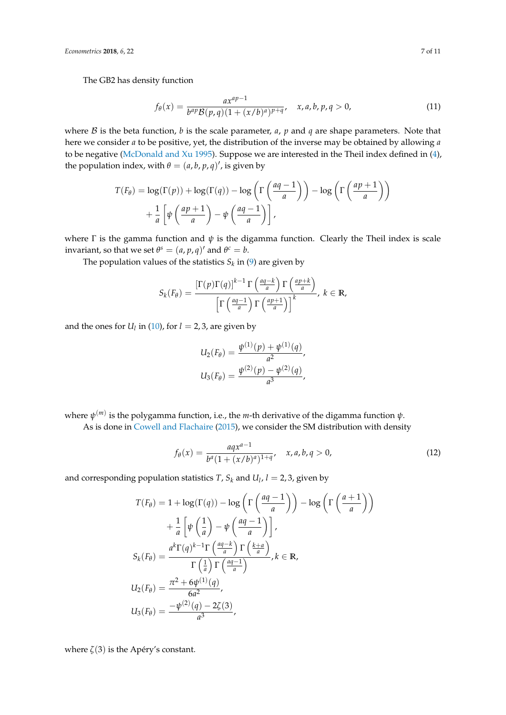The GB2 has density function

$$
f_{\theta}(x) = \frac{ax^{ap-1}}{b^{ap}\mathcal{B}(p,q)(1 + (x/b)^a)^{p+q}}, \quad x, a, b, p, q > 0,
$$
 (11)

where  $\beta$  is the beta function, *b* is the scale parameter, *a*, *p* and *q* are shape parameters. Note that here we consider *a* to be positive, yet, the distribution of the inverse may be obtained by allowing *a* to be negative [\(McDonald and Xu](#page-10-13) [1995\)](#page-10-13). Suppose we are interested in the Theil index defined in [\(4\)](#page-1-1), the population index, with  $\theta = (a, b, p, q)'$ , is given by

$$
T(F_{\theta}) = \log(\Gamma(p)) + \log(\Gamma(q)) - \log\left(\Gamma\left(\frac{aq-1}{a}\right)\right) - \log\left(\Gamma\left(\frac{ap+1}{a}\right)\right) + \frac{1}{a}\left[\psi\left(\frac{ap+1}{a}\right) - \psi\left(\frac{aq-1}{a}\right)\right],
$$

where  $\Gamma$  is the gamma function and  $\psi$  is the digamma function. Clearly the Theil index is scale invariant, so that we set  $\theta^s = (a, p, q)'$  and  $\theta^c = b$ .

The population values of the statistics  $S_k$  in [\(9\)](#page-4-1) are given by

$$
S_k(F_{\theta}) = \frac{\left[\Gamma(p)\Gamma(q)\right]^{k-1} \Gamma\left(\frac{aq-k}{a}\right) \Gamma\left(\frac{ap+k}{a}\right)}{\left[\Gamma\left(\frac{aq-1}{a}\right) \Gamma\left(\frac{ap+1}{a}\right)\right]^k}, k \in \mathbb{R},
$$

and the ones for  $U_l$  in [\(10\)](#page-4-2), for  $l = 2, 3$ , are given by

$$
U_2(F_{\theta}) = \frac{\psi^{(1)}(p) + \psi^{(1)}(q)}{a^2},
$$
  

$$
U_3(F_{\theta}) = \frac{\psi^{(2)}(p) - \psi^{(2)}(q)}{a^3},
$$

where *ψ* (*m*) is the polygamma function, i.e., the *m*-th derivative of the digamma function *ψ*. As is done in [Cowell and Flachaire](#page-9-2) [\(2015\)](#page-9-2), we consider the SM distribution with density

$$
f_{\theta}(x) = \frac{aqx^{a-1}}{b^a(1 + (x/b)^a)^{1+q}}, \quad x, a, b, q > 0,
$$
 (12)

and corresponding population statistics *T*,  $S_k$  and  $U_l$ ,  $l = 2, 3$ , given by

$$
T(F_{\theta}) = 1 + \log(\Gamma(q)) - \log\left(\Gamma\left(\frac{aq - 1}{a}\right)\right) - \log\left(\Gamma\left(\frac{a + 1}{a}\right)\right)
$$

$$
+ \frac{1}{a}\left[\psi\left(\frac{1}{a}\right) - \psi\left(\frac{aq - 1}{a}\right)\right],
$$

$$
S_k(F_{\theta}) = \frac{a^k \Gamma(q)^{k-1} \Gamma\left(\frac{aq - k}{a}\right) \Gamma\left(\frac{k + a}{a}\right)}{\Gamma\left(\frac{1}{a}\right) \Gamma\left(\frac{aq - 1}{a}\right)}, k \in \mathbb{R},
$$

$$
U_2(F_{\theta}) = \frac{\pi^2 + 6\psi^{(1)}(q)}{6a^2},
$$

$$
U_3(F_{\theta}) = \frac{-\psi^{(2)}(q) - 2\zeta(3)}{a^3},
$$

where  $\zeta(3)$  is the Apéry's constant.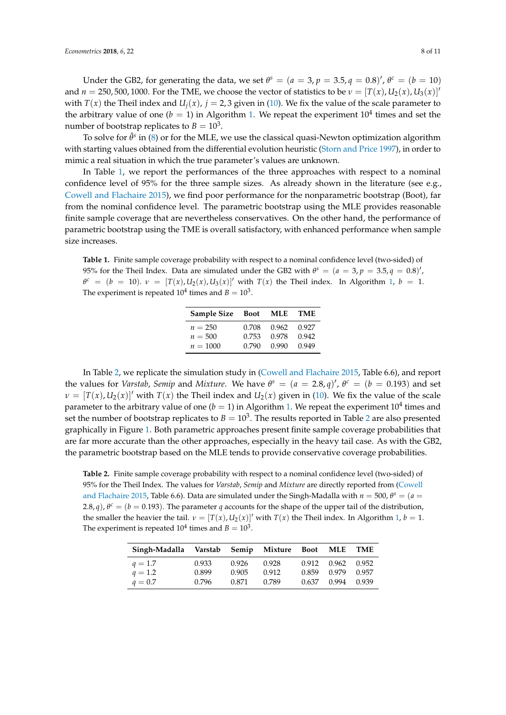Under the GB2, for generating the data, we set  $\theta^s = (a = 3, p = 3.5, q = 0.8)'$ ,  $\theta^c = (b = 10)$ and  $n = 250, 500, 1000$ . For the TME, we choose the vector of statistics to be  $v = [T(x), U_2(x), U_3(x)]'$ with  $T(x)$  the Theil index and  $U_i(x)$ ,  $j = 2, 3$  given in [\(10\)](#page-4-2). We fix the value of the scale parameter to the arbitrary value of one ( $b = 1$ ) in Algorithm [1.](#page-4-0) We repeat the experiment 10<sup>4</sup> times and set the number of bootstrap replicates to  $B = 10^3$ .

To solve for  $\hat{\theta}^s$  in [\(8\)](#page-3-2) or for the MLE, we use the classical quasi-Newton optimization algorithm with starting values obtained from the differential evolution heuristic [\(Storn and Price](#page-10-21) [1997\)](#page-10-21), in order to mimic a real situation in which the true parameter's values are unknown.

In Table [1,](#page-7-0) we report the performances of the three approaches with respect to a nominal confidence level of 95% for the three sample sizes. As already shown in the literature (see e.g., [Cowell and Flachaire](#page-9-2) [2015\)](#page-9-2), we find poor performance for the nonparametric bootstrap (Boot), far from the nominal confidence level. The parametric bootstrap using the MLE provides reasonable finite sample coverage that are nevertheless conservatives. On the other hand, the performance of parametric bootstrap using the TME is overall satisfactory, with enhanced performance when sample size increases.

<span id="page-7-0"></span>**Table 1.** Finite sample coverage probability with respect to a nominal confidence level (two-sided) of 95% for the Theil Index. Data are simulated under the GB2 with  $\theta^s = (a = 3, p = 3.5, q = 0.8)'$ ,  $\theta^c = (b = 10)$ .  $\nu = [T(x), U_2(x), U_3(x)]'$  with  $T(x)$  the Theil index. In Algorithm [1,](#page-4-0)  $b = 1$ . The experiment is repeated  $10^4$  times and  $B = 10^3$ .

| Sample Size Boot |       | <b>MLE</b> | <b>TME</b> |
|------------------|-------|------------|------------|
| $n = 250$        | 0.708 | 0.962      | 0.927      |
| $n = 500$        | 0.753 | 0.978      | 0.942      |
| $n = 1000$       | 0.790 | 0.990      | 0.949      |

In Table [2,](#page-7-1) we replicate the simulation study in [\(Cowell and Flachaire](#page-9-2) [2015,](#page-9-2) Table 6.6), and report the values for *Varstab*, *Semip* and *Mixture*. We have  $\theta^s = (a = 2.8, q)'$ ,  $\theta^c = (b = 0.193)$  and set  $\nu = [T(x), U_2(x)]'$  with  $T(x)$  the Theil index and  $U_2(x)$  given in [\(10\)](#page-4-2). We fix the value of the scale parameter to the arbitrary value of one ( $b=1$ ) in Algorithm [1.](#page-4-0) We repeat the experiment  $10^4$  times and set the number of bootstrap replicates to  $B = 10^3$ . The results reported in Table [2](#page-7-1) are also presented graphically in Figure [1.](#page-8-1) Both parametric approaches present finite sample coverage probabilities that are far more accurate than the other approaches, especially in the heavy tail case. As with the GB2, the parametric bootstrap based on the MLE tends to provide conservative coverage probabilities.

<span id="page-7-1"></span>**Table 2.** Finite sample coverage probability with respect to a nominal confidence level (two-sided) of 95% for the Theil Index. The values for *Varstab*, *Semip* and *Mixture* are directly reported from [\(Cowell](#page-9-2) [and Flachaire](#page-9-2) [2015,](#page-9-2) Table 6.6). Data are simulated under the Singh-Madalla with  $n = 500$ ,  $\theta^s = (a = 500)^s$ 2.8, *q*),  $\theta^c = (b = 0.193)$ . The parameter *q* accounts for the shape of the upper tail of the distribution, the smaller the heavier the tail.  $v = [T(x), U_2(x)]'$  with  $T(x)$  the Theil index. In Algorithm [1,](#page-4-0)  $b = 1$ . The experiment is repeated  $10^4$  times and  $B = 10^3$ .

| Singh-Madalla Varstab Semip Mixture |       |       |       | Boot  | <b>MLE</b> | TME   |
|-------------------------------------|-------|-------|-------|-------|------------|-------|
| $q = 1.7$                           | 0.933 | 0.926 | 0.928 | 0.912 | 0.962      | 0.952 |
| $q = 1.2$                           | 0.899 | 0.905 | 0.912 | 0.859 | 0.979      | 0.957 |
| $q=0.7$                             | 0.796 | 0.871 | 0.789 | 0.637 | 0.994      | 0.939 |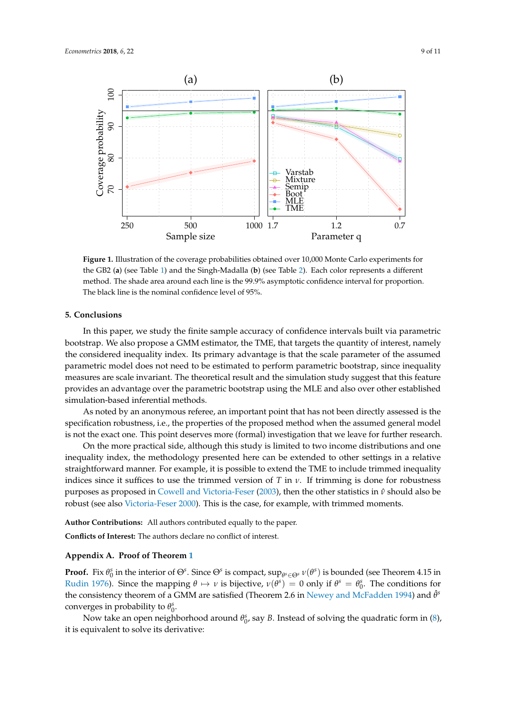<span id="page-8-1"></span>

**Figure 1.** Illustration of the coverage probabilities obtained over 10,000 Monte Carlo experiments for the GB2 (**a**) (see Table [1\)](#page-7-0) and the Singh-Madalla (**b**) (see Table [2\)](#page-7-1). Each color represents a different method. The shade area around each line is the 99.9% asymptotic confidence interval for proportion. The black line is the nominal confidence level of 95%.

# **5. Conclusions**

In this paper, we study the finite sample accuracy of confidence intervals built via parametric bootstrap. We also propose a GMM estimator, the TME, that targets the quantity of interest, namely the considered inequality index. Its primary advantage is that the scale parameter of the assumed parametric model does not need to be estimated to perform parametric bootstrap, since inequality measures are scale invariant. The theoretical result and the simulation study suggest that this feature provides an advantage over the parametric bootstrap using the MLE and also over other established simulation-based inferential methods.

As noted by an anonymous referee, an important point that has not been directly assessed is the specification robustness, i.e., the properties of the proposed method when the assumed general model is not the exact one. This point deserves more (formal) investigation that we leave for further research.

On the more practical side, although this study is limited to two income distributions and one inequality index, the methodology presented here can be extended to other settings in a relative straightforward manner. For example, it is possible to extend the TME to include trimmed inequality indices since it suffices to use the trimmed version of *T* in  $\nu$ . If trimming is done for robustness purposes as proposed in [Cowell and Victoria-Feser](#page-9-0) [\(2003\)](#page-9-0), then the other statistics in *ν*ˆ should also be robust (see also [Victoria-Feser](#page-10-22) [2000\)](#page-10-22). This is the case, for example, with trimmed moments.

**Author Contributions:** All authors contributed equally to the paper.

**Conflicts of Interest:** The authors declare no conflict of interest.

## <span id="page-8-0"></span>**Appendix A. Proof of Theorem [1](#page-5-1)**

**Proof.** Fix  $\theta_0^s$  in the interior of  $\Theta^s$ . Since  $\Theta^s$  is compact,  $\sup_{\theta^s \in \Theta^s} v(\theta^s)$  is bounded (see Theorem 4.15 in [Rudin](#page-10-23) [1976\)](#page-10-23). Since the mapping  $\theta \mapsto \nu$  is bijective,  $\nu(\theta^s) = 0$  only if  $\theta^s = \theta_0^s$ . The conditions for the consistency theorem of a GMM are satisfied (Theorem 2.6 in [Newey and McFadden](#page-10-24) [1994\)](#page-10-24) and  $\hat{\theta}^s$ converges in probability to  $\theta_0^s$ .

Now take an open neighborhood around  $\theta_0^s$ , say *B*. Instead of solving the quadratic form in [\(8\)](#page-3-2), it is equivalent to solve its derivative: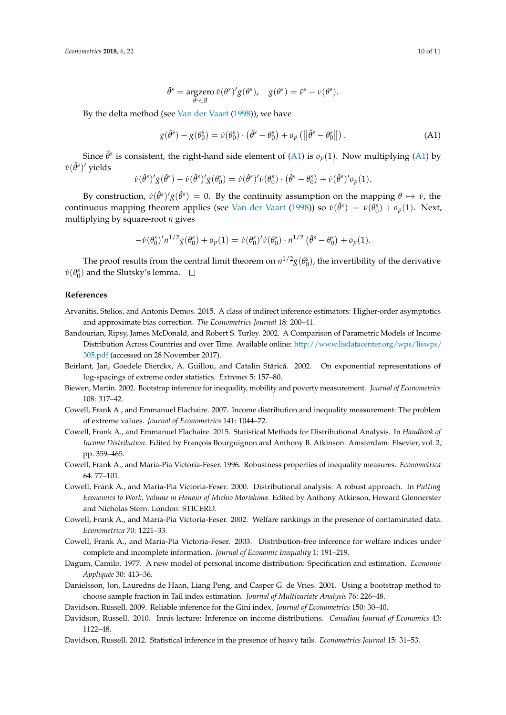$$
\hat{\theta}^s = \underset{\theta^s \in B}{\operatorname{argzero}} \, \dot{\nu}(\theta^s)' g(\theta^s), \quad g(\theta^s) = \hat{\nu}^s - \nu(\theta^s).
$$

By the delta method (see [Van der Vaart](#page-10-25) [\(1998\)](#page-10-25)), we have

<span id="page-9-15"></span>
$$
g(\hat{\theta}^s) - g(\theta_0^s) = \dot{\nu}(\theta_0^s) \cdot (\hat{\theta}^s - \theta_0^s) + o_p(\|\hat{\theta}^s - \theta_0^s\|).
$$
 (A1)

Since  $\hat{\theta}^s$  is consistent, the right-hand side element of [\(A1\)](#page-9-15) is  $o_p(1)$ . Now multiplying (A1) by  $\dot{v}(\hat{\theta}^s)'$  yields

$$
\dot{\nu}(\hat{\theta}^s)'g(\hat{\theta}^s) - \dot{\nu}(\hat{\theta}^s)'g(\theta_0^s) = \dot{\nu}(\hat{\theta}^s)' \dot{\nu}(\theta_0^s) \cdot (\hat{\theta}^s - \theta_0^s) + \dot{\nu}(\hat{\theta}^s)' o_p(1).
$$

By construction,  $\dot{v}(\hat{\theta}^s)'g(\hat{\theta}^s) = 0$ . By the continuity assumption on the mapping  $\theta \mapsto \dot{v}$ , the continuous mapping theorem applies (see [Van der Vaart](#page-10-25) [\(1998\)](#page-10-25)) so  $\dot{v}(\hat{\theta}^s) = \dot{v}(\theta_0^s) + o_p(1)$ . Next, multiplying by square-root *n* gives

$$
- \dot{\nu}(\theta_0^s)' n^{1/2} g(\theta_0^s) + o_p(1) = \dot{\nu}(\theta_0^s)' \dot{\nu}(\theta_0^s) \cdot n^{1/2} (\hat{\theta}^s - \theta_0^s) + o_p(1).
$$

The proof results from the central limit theorem on  $n^{1/2}g(\theta_0^s)$ , the invertibility of the derivative  $\dot{\nu}(\theta_0^s)$  and the Slutsky's lemma.

## **References**

- <span id="page-9-13"></span>Arvanitis, Stelios, and Antonis Demos. 2015. A class of indirect inference estimators: Higher-order asymptotics and approximate bias correction. *The Econometrics Journal* 18: 200–41.
- <span id="page-9-14"></span>Bandourian, Ripsy, James McDonald, and Robert S. Turley. 2002. A Comparison of Parametric Models of Income Distribution Across Countries and over Time. Available online: [http://www.lisdatacenter.org/wps/liswps/](http://www.lisdatacenter.org/wps/liswps/305.pdf) [305.pdf](http://www.lisdatacenter.org/wps/liswps/305.pdf) (accessed on 28 November 2017).
- <span id="page-9-9"></span>Beirlant, Jan, Goedele Dierckx, A. Guillou, and Catalin Stărică. 2002. On exponential representations of log-spacings of extreme order statistics. *Extremes* 5: 157–80.
- <span id="page-9-3"></span>Biewen, Martin. 2002. Bootstrap inference for inequality, mobility and poverty measurement. *Journal of Econometrics* 108: 317–42.
- <span id="page-9-4"></span>Cowell, Frank A., and Emmanuel Flachaire. 2007. Income distribution and inequality measurement: The problem of extreme values. *Journal of Econometrics* 141: 1044–72.
- <span id="page-9-2"></span>Cowell, Frank A., and Emmanuel Flachaire. 2015. Statistical Methods for Distributional Analysis. In *Handbook of Income Distribution*. Edited by François Bourguignon and Anthony B. Atkinson. Amsterdam: Elsevier, vol. 2, pp. 359–465.
- <span id="page-9-11"></span>Cowell, Frank A., and Maria-Pia Victoria-Feser. 1996. Robustness properties of inequality measures. *Econometrica* 64: 77–101.
- <span id="page-9-12"></span>Cowell, Frank A., and Maria-Pia Victoria-Feser. 2000. Distributional analysis: A robust approach. In *Putting Economics to Work, Volume in Honour of Michio Morishima*. Edited by Anthony Atkinson, Howard Glennerster and Nicholas Stern. London: STICERD.
- <span id="page-9-1"></span>Cowell, Frank A., and Maria-Pia Victoria-Feser. 2002. Welfare rankings in the presence of contaminated data. *Econometrica* 70: 1221–33.
- <span id="page-9-0"></span>Cowell, Frank A., and Maria-Pia Victoria-Feser. 2003. Distribution-free inference for welfare indices under complete and incomplete information. *Journal of Economic Inequality* 1: 191–219.
- <span id="page-9-10"></span>Dagum, Camilo. 1977. A new model of personal income distribution: Specification and estimation. *Economie Appliquée* 30: 413–36.
- <span id="page-9-8"></span>Danielsson, Jon, Lauredns de Haan, Liang Peng, and Casper G. de Vries. 2001. Using a bootstrap method to choose sample fraction in Tail index estimation. *Journal of Multivariate Analysis* 76: 226–48.
- <span id="page-9-5"></span>Davidson, Russell. 2009. Reliable inference for the Gini index. *Journal of Econometrics* 150: 30–40.
- <span id="page-9-6"></span>Davidson, Russell. 2010. Innis lecture: Inference on income distributions. *Canadian Journal of Economics* 43: 1122–48.
- <span id="page-9-7"></span>Davidson, Russell. 2012. Statistical inference in the presence of heavy tails. *Econometrics Journal* 15: 31–53.